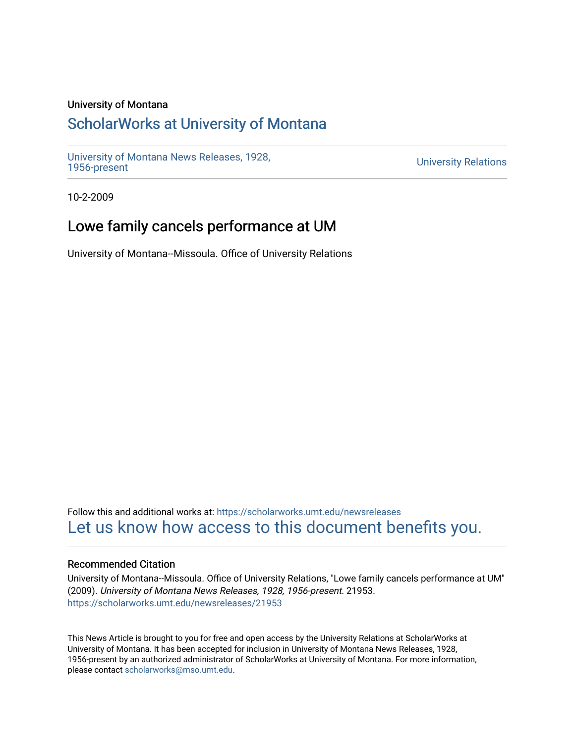### University of Montana

# [ScholarWorks at University of Montana](https://scholarworks.umt.edu/)

[University of Montana News Releases, 1928,](https://scholarworks.umt.edu/newsreleases) 

**University Relations** 

10-2-2009

# Lowe family cancels performance at UM

University of Montana--Missoula. Office of University Relations

Follow this and additional works at: [https://scholarworks.umt.edu/newsreleases](https://scholarworks.umt.edu/newsreleases?utm_source=scholarworks.umt.edu%2Fnewsreleases%2F21953&utm_medium=PDF&utm_campaign=PDFCoverPages) [Let us know how access to this document benefits you.](https://goo.gl/forms/s2rGfXOLzz71qgsB2) 

#### Recommended Citation

University of Montana--Missoula. Office of University Relations, "Lowe family cancels performance at UM" (2009). University of Montana News Releases, 1928, 1956-present. 21953. [https://scholarworks.umt.edu/newsreleases/21953](https://scholarworks.umt.edu/newsreleases/21953?utm_source=scholarworks.umt.edu%2Fnewsreleases%2F21953&utm_medium=PDF&utm_campaign=PDFCoverPages) 

This News Article is brought to you for free and open access by the University Relations at ScholarWorks at University of Montana. It has been accepted for inclusion in University of Montana News Releases, 1928, 1956-present by an authorized administrator of ScholarWorks at University of Montana. For more information, please contact [scholarworks@mso.umt.edu.](mailto:scholarworks@mso.umt.edu)